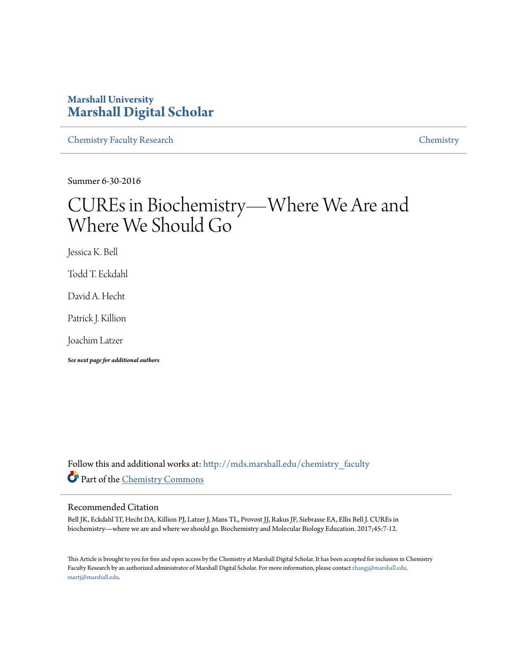### **Marshall University [Marshall Digital Scholar](http://mds.marshall.edu?utm_source=mds.marshall.edu%2Fchemistry_faculty%2F17&utm_medium=PDF&utm_campaign=PDFCoverPages)**

**[Chemistry Faculty Research](http://mds.marshall.edu/chemistry_faculty?utm_source=mds.marshall.edu%2Fchemistry_faculty%2F17&utm_medium=PDF&utm_campaign=PDFCoverPages) [Chemistry](http://mds.marshall.edu/chemistry?utm_source=mds.marshall.edu%2Fchemistry_faculty%2F17&utm_medium=PDF&utm_campaign=PDFCoverPages)** 

Summer 6-30-2016

# CUREs in Biochemistry—Where We Are and Where We Should Go

Jessica K. Bell

Todd T. Eckdahl

David A. Hecht

Patrick J. Killion

Joachim Latzer

*See next page for additional authors*

Follow this and additional works at: [http://mds.marshall.edu/chemistry\\_faculty](http://mds.marshall.edu/chemistry_faculty?utm_source=mds.marshall.edu%2Fchemistry_faculty%2F17&utm_medium=PDF&utm_campaign=PDFCoverPages) Part of the [Chemistry Commons](http://network.bepress.com/hgg/discipline/131?utm_source=mds.marshall.edu%2Fchemistry_faculty%2F17&utm_medium=PDF&utm_campaign=PDFCoverPages)

#### Recommended Citation

Bell JK, Eckdahl TT, Hecht DA, Killion PJ, Latzer J, Mans TL, Provost JJ, Rakus JF, Siebrasse EA, Ellis Bell J. CUREs in biochemistry—where we are and where we should go. Biochemistry and Molecular Biology Education. 2017;45:7-12.

This Article is brought to you for free and open access by the Chemistry at Marshall Digital Scholar. It has been accepted for inclusion in Chemistry Faculty Research by an authorized administrator of Marshall Digital Scholar. For more information, please contact [zhangj@marshall.edu,](mailto:zhangj@marshall.edu,%20martj@marshall.edu) [martj@marshall.edu](mailto:zhangj@marshall.edu,%20martj@marshall.edu).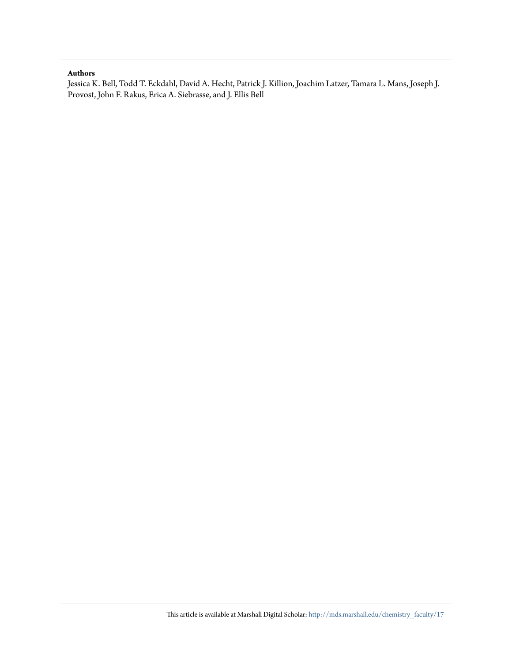#### **Authors**

Jessica K. Bell, Todd T. Eckdahl, David A. Hecht, Patrick J. Killion, Joachim Latzer, Tamara L. Mans, Joseph J. Provost, John F. Rakus, Erica A. Siebrasse, and J. Ellis Bell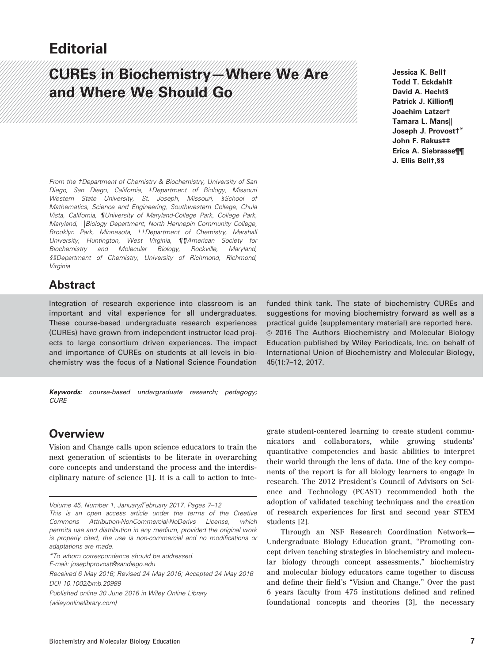## **Editorial**

# CUREs in Biochemistry—Where We Are and Where We Should Go

Jessica K. Bell† Todd T. Eckdahl‡ David A. Hecht§ Patrick J. Killion¶ Joachim Latzer† Tamara L. Mans|| Joseph J. Provost†\* John F. Rakus‡‡ Erica A. Siebrasse¶¶ J. Ellis Bell†,§§

From the †Department of Chemistry & Biochemistry, University of San Diego, San Diego, California, ‡Department of Biology, Missouri Western State University, St. Joseph, Missouri, §School of Mathematics, Science and Engineering, Southwestern College, Chula Vista, California, ¶University of Maryland-College Park, College Park, Maryland, ||Biology Department, North Hennepin Community College, Brooklyn Park, Minnesota, ††Department of Chemistry, Marshall University, Huntington, West Virginia, ¶¶American Society for Biochemistry and Molecular Biology, Rockville, Maryland, §§Department of Chemistry, University of Richmond, Richmond, Virginia

### Abstract

Integration of research experience into classroom is an important and vital experience for all undergraduates. These course-based undergraduate research experiences (CUREs) have grown from independent instructor lead projects to large consortium driven experiences. The impact and importance of CUREs on students at all levels in biochemistry was the focus of a National Science Foundation

funded think tank. The state of biochemistry CUREs and suggestions for moving biochemistry forward as well as a practical guide (supplementary material) are reported here.  $©$  2016 The Authors Biochemistry and Molecular Biology Education published by Wiley Periodicals, Inc. on behalf of International Union of Biochemistry and Molecular Biology, 45(1):7–12, 2017.

Keywords: course-based undergraduate research; pedagogy; **CURE** 

### **Overwiew**

Vision and Change calls upon science educators to train the next generation of scientists to be literate in overarching core concepts and understand the process and the interdisciplinary nature of science [1]. It is a call to action to integrate student-centered learning to create student communicators and collaborators, while growing students' quantitative competencies and basic abilities to interpret their world through the lens of data. One of the key components of the report is for all biology learners to engage in research. The 2012 President's Council of Advisors on Science and Technology (PCAST) recommended both the adoption of validated teaching techniques and the creation of research experiences for first and second year STEM students [2].

Through an NSF Research Coordination Network— Undergraduate Biology Education grant, "Promoting concept driven teaching strategies in biochemistry and molecular biology through concept assessments," biochemistry and molecular biology educators came together to discuss and define their field's "Vision and Change." Over the past 6 years faculty from 475 institutions defined and refined foundational concepts and theories [3], the necessary

Volume 45, Number 1, January/February 2017, Pages 7–12

This is an open access article under the terms of the Creative Commons Attribution-NonCommercial-NoDerivs License, which permits use and distribution in any medium, provided the original work is properly cited, the use is non-commercial and no modifications or adaptations are made.

<sup>\*</sup>To whom correspondence should be addressed.

E-mail: josephprovost@sandiego.edu

Received 6 May 2016; Revised 24 May 2016; Accepted 24 May 2016 DOI 10.1002/bmb.20989

Published online 30 June 2016 in Wiley Online Library

<sup>(</sup>wileyonlinelibrary.com)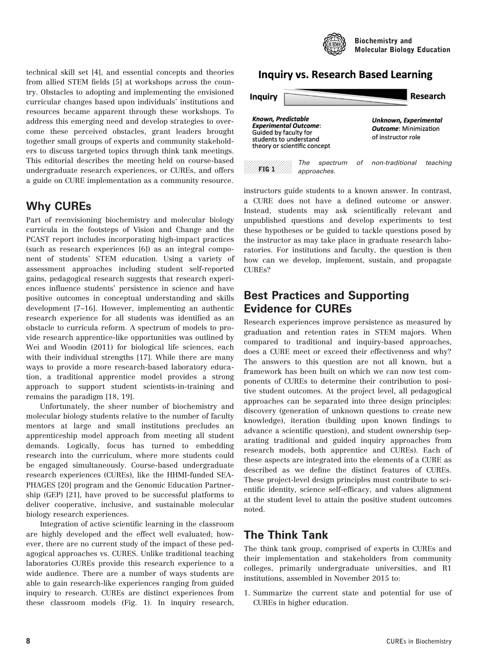

technical skill set [4], and essential concepts and theories from allied STEM fields [5] at workshops across the country. Obstacles to adopting and implementing the envisioned curricular changes based upon individuals' institutions and resources became apparent through these workshops. To address this emerging need and develop strategies to overcome these perceived obstacles, grant leaders brought together small groups of experts and community stakeholders to discuss targeted topics through think tank meetings. This editorial describes the meeting held on course-based undergraduate research experiences, or CUREs, and offers a guide on CURE implementation as a community resource.

### Why CUREs

Part of reenvisioning biochemistry and molecular biology curricula in the footsteps of Vision and Change and the PCAST report includes incorporating high-impact practices (such as research experiences [6]) as an integral component of students' STEM education. Using a variety of assessment approaches including student self-reported gains, pedagogical research suggests that research experiences influence students' persistence in science and have positive outcomes in conceptual understanding and skills development [7–16]. However, implementing an authentic research experience for all students was identified as an obstacle to curricula reform. A spectrum of models to provide research apprentice-like opportunities was outlined by Wei and Woodin (2011) for biological life sciences, each with their individual strengths [17]. While there are many ways to provide a more research-based laboratory education, a traditional apprentice model provides a strong approach to support student scientists-in-training and remains the paradigm [18, 19].

Unfortunately, the sheer number of biochemistry and molecular biology students relative to the number of faculty mentors at large and small institutions precludes an apprenticeship model approach from meeting all student demands. Logically, focus has turned to embedding research into the curriculum, where more students could be engaged simultaneously. Course-based undergraduate research experiences (CUREs), like the HHMI-funded SEA-PHAGES [20] program and the Genomic Education Partnership (GEP) [21], have proved to be successful platforms to deliver cooperative, inclusive, and sustainable molecular biology research experiences.

Integration of active scientific learning in the classroom are highly developed and the effect well evaluated; however, there are no current study of the impact of these pedagogical approaches vs. CURES. Unlike traditional teaching laboratories CUREs provide this research experience to a wide audience. There are a number of ways students are able to gain research-like experiences ranging from guided inquiry to research. CUREs are distinct experiences from these classroom models (Fig. 1). In inquiry research,

### **Inquiry vs. Research Based Learning**

| <b>Inquiry</b>                                                                                                                        |                                |  |                                                                             | <b>Research</b> |
|---------------------------------------------------------------------------------------------------------------------------------------|--------------------------------|--|-----------------------------------------------------------------------------|-----------------|
| Known, Predictable<br><b>Experimental Outcome:</b><br>Guided by faculty for<br>students to understand<br>theory or scientific concept |                                |  | Unknown, Experimental<br><b>Outcome:</b> Minimization<br>of instructor role |                 |
|                                                                                                                                       | The<br>spectrum<br>approaches. |  | of non-traditional                                                          | teaching        |

instructors guide students to a known answer. In contrast, a CURE does not have a defined outcome or answer. Instead, students may ask scientifically relevant and unpublished questions and develop experiments to test these hypotheses or be guided to tackle questions posed by the instructor as may take place in graduate research laboratories. For institutions and faculty, the question is then how can we develop, implement, sustain, and propagate CUREs?

### Best Practices and Supporting Evidence for CUREs

Research experiences improve persistence as measured by graduation and retention rates in STEM majors. When compared to traditional and inquiry-based approaches, does a CURE meet or exceed their effectiveness and why? The answers to this question are not all known, but a framework has been built on which we can now test components of CUREs to determine their contribution to positive student outcomes. At the project level, all pedagogical approaches can be separated into three design principles: discovery (generation of unknown questions to create new knowledge), iteration (building upon known findings to advance a scientific question), and student ownership (separating traditional and guided inquiry approaches from research models, both apprentice and CUREs). Each of these aspects are integrated into the elements of a CURE as described as we define the distinct features of CUREs. These project-level design principles must contribute to scientific identity, science self-efficacy, and values alignment at the student level to attain the positive student outcomes noted.

### The Think Tank

The think tank group, comprised of experts in CUREs and their implementation and stakeholders from community colleges, primarily undergraduate universities, and R1 institutions, assembled in November 2015 to:

1. Summarize the current state and potential for use of CUREs in higher education.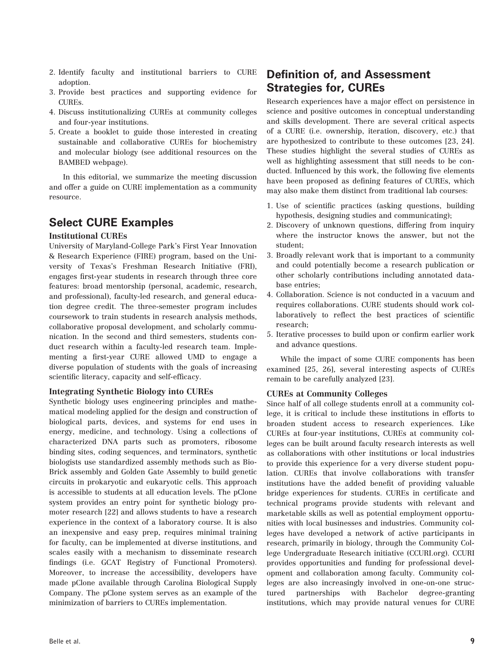- 2. Identify faculty and institutional barriers to CURE adoption.
- 3. Provide best practices and supporting evidence for CUREs.
- 4. Discuss institutionalizing CUREs at community colleges and four-year institutions.
- 5. Create a booklet to guide those interested in creating sustainable and collaborative CUREs for biochemistry and molecular biology (see additional resources on the BAMBED webpage).

In this editorial, we summarize the meeting discussion and offer a guide on CURE implementation as a community resource.

### Select CURE Examples

#### Institutional CUREs

University of Maryland-College Park's First Year Innovation & Research Experience (FIRE) program, based on the University of Texas's Freshman Research Initiative (FRI), engages first-year students in research through three core features: broad mentorship (personal, academic, research, and professional), faculty-led research, and general education degree credit. The three-semester program includes coursework to train students in research analysis methods, collaborative proposal development, and scholarly communication. In the second and third semesters, students conduct research within a faculty-led research team. Implementing a first-year CURE allowed UMD to engage a diverse population of students with the goals of increasing scientific literacy, capacity and self-efficacy.

#### Integrating Synthetic Biology into CUREs

Synthetic biology uses engineering principles and mathematical modeling applied for the design and construction of biological parts, devices, and systems for end uses in energy, medicine, and technology. Using a collections of characterized DNA parts such as promoters, ribosome binding sites, coding sequences, and terminators, synthetic biologists use standardized assembly methods such as Bio-Brick assembly and Golden Gate Assembly to build genetic circuits in prokaryotic and eukaryotic cells. This approach is accessible to students at all education levels. The pClone system provides an entry point for synthetic biology promoter research [22] and allows students to have a research experience in the context of a laboratory course. It is also an inexpensive and easy prep, requires minimal training for faculty, can be implemented at diverse institutions, and scales easily with a mechanism to disseminate research findings (i.e. GCAT Registry of Functional Promoters). Moreover, to increase the accessibility, developers have made pClone available through Carolina Biological Supply Company. The pClone system serves as an example of the minimization of barriers to CUREs implementation.

### Definition of, and Assessment Strategies for, CUREs

Research experiences have a major effect on persistence in science and positive outcomes in conceptual understanding and skills development. There are several critical aspects of a CURE (i.e. ownership, iteration, discovery, etc.) that are hypothesized to contribute to these outcomes [23, 24]. These studies highlight the several studies of CUREs as well as highlighting assessment that still needs to be conducted. Influenced by this work, the following five elements have been proposed as defining features of CUREs, which may also make them distinct from traditional lab courses:

- 1. Use of scientific practices (asking questions, building hypothesis, designing studies and communicating);
- 2. Discovery of unknown questions, differing from inquiry where the instructor knows the answer, but not the student;
- 3. Broadly relevant work that is important to a community and could potentially become a research publication or other scholarly contributions including annotated database entries;
- 4. Collaboration. Science is not conducted in a vacuum and requires collaborations. CURE students should work collaboratively to reflect the best practices of scientific research;
- 5. Iterative processes to build upon or confirm earlier work and advance questions.

While the impact of some CURE components has been examined [25, 26], several interesting aspects of CUREs remain to be carefully analyzed [23].

#### CUREs at Community Colleges

Since half of all college students enroll at a community college, it is critical to include these institutions in efforts to broaden student access to research experiences. Like CUREs at four-year institutions, CUREs at community colleges can be built around faculty research interests as well as collaborations with other institutions or local industries to provide this experience for a very diverse student population. CUREs that involve collaborations with transfer institutions have the added benefit of providing valuable bridge experiences for students. CUREs in certificate and technical programs provide students with relevant and marketable skills as well as potential employment opportunities with local businesses and industries. Community colleges have developed a network of active participants in research, primarily in biology, through the Community College Undergraduate Research initiative (CCURI.org). CCURI provides opportunities and funding for professional development and collaboration among faculty. Community colleges are also increasingly involved in one-on-one structured partnerships with Bachelor degree-granting institutions, which may provide natural venues for CURE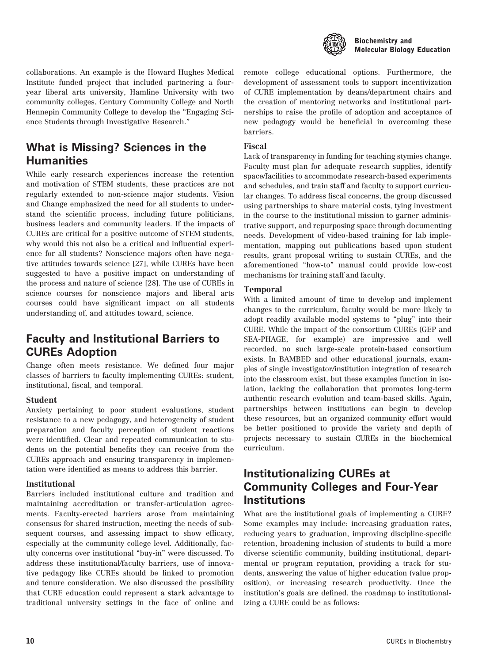

Biochemistry and Molecular Biology Education

collaborations. An example is the Howard Hughes Medical Institute funded project that included partnering a fouryear liberal arts university, Hamline University with two community colleges, Century Community College and North Hennepin Community College to develop the "Engaging Science Students through Investigative Research."

### What is Missing? Sciences in the **Humanities**

While early research experiences increase the retention and motivation of STEM students, these practices are not regularly extended to non-science major students. Vision and Change emphasized the need for all students to understand the scientific process, including future politicians, business leaders and community leaders. If the impacts of CUREs are critical for a positive outcome of STEM students, why would this not also be a critical and influential experience for all students? Nonscience majors often have negative attitudes towards science [27], while CUREs have been suggested to have a positive impact on understanding of the process and nature of science [28]. The use of CUREs in science courses for nonscience majors and liberal arts courses could have significant impact on all students understanding of, and attitudes toward, science.

### Faculty and Institutional Barriers to CUREs Adoption

Change often meets resistance. We defined four major classes of barriers to faculty implementing CUREs: student, institutional, fiscal, and temporal.

#### Student

Anxiety pertaining to poor student evaluations, student resistance to a new pedagogy, and heterogeneity of student preparation and faculty perception of student reactions were identified. Clear and repeated communication to students on the potential benefits they can receive from the CUREs approach and ensuring transparency in implementation were identified as means to address this barrier.

#### Institutional

Barriers included institutional culture and tradition and maintaining accreditation or transfer-articulation agreements. Faculty-erected barriers arose from maintaining consensus for shared instruction, meeting the needs of subsequent courses, and assessing impact to show efficacy, especially at the community college level. Additionally, faculty concerns over institutional "buy-in" were discussed. To address these institutional/faculty barriers, use of innovative pedagogy like CUREs should be linked to promotion and tenure consideration. We also discussed the possibility that CURE education could represent a stark advantage to traditional university settings in the face of online and

remote college educational options. Furthermore, the development of assessment tools to support incentivization of CURE implementation by deans/department chairs and the creation of mentoring networks and institutional partnerships to raise the profile of adoption and acceptance of new pedagogy would be beneficial in overcoming these barriers.

#### Fiscal

Lack of transparency in funding for teaching stymies change. Faculty must plan for adequate research supplies, identify space/facilities to accommodate research-based experiments and schedules, and train staff and faculty to support curricular changes. To address fiscal concerns, the group discussed using partnerships to share material costs, tying investment in the course to the institutional mission to garner administrative support, and repurposing space through documenting needs. Development of video-based training for lab implementation, mapping out publications based upon student results, grant proposal writing to sustain CUREs, and the aforementioned "how-to" manual could provide low-cost mechanisms for training staff and faculty.

#### Temporal

With a limited amount of time to develop and implement changes to the curriculum, faculty would be more likely to adopt readily available model systems to "plug" into their CURE. While the impact of the consortium CUREs (GEP and SEA-PHAGE, for example) are impressive and well recorded, no such large-scale protein-based consortium exists. In BAMBED and other educational journals, examples of single investigator/institution integration of research into the classroom exist, but these examples function in isolation, lacking the collaboration that promotes long-term authentic research evolution and team-based skills. Again, partnerships between institutions can begin to develop these resources, but an organized community effort would be better positioned to provide the variety and depth of projects necessary to sustain CUREs in the biochemical curriculum.

### Institutionalizing CUREs at Community Colleges and Four-Year Institutions

What are the institutional goals of implementing a CURE? Some examples may include: increasing graduation rates, reducing years to graduation, improving discipline-specific retention, broadening inclusion of students to build a more diverse scientific community, building institutional, departmental or program reputation, providing a track for students, answering the value of higher education (value proposition), or increasing research productivity. Once the institution's goals are defined, the roadmap to institutionalizing a CURE could be as follows: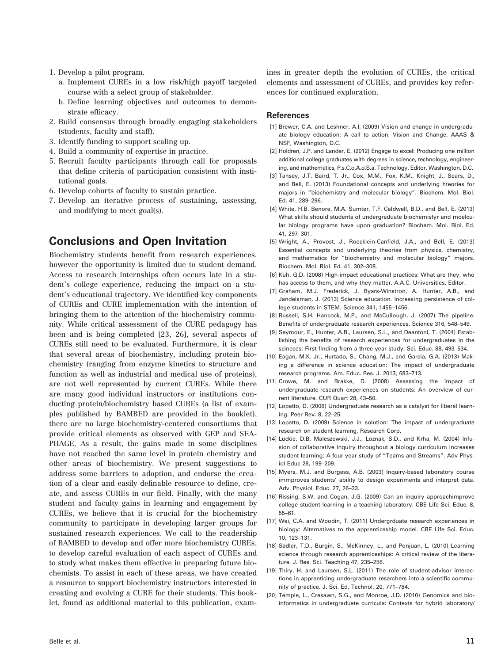- 1. Develop a pilot program.
	- a. Implement CUREs in a low risk/high payoff targeted course with a select group of stakeholder.
	- b. Define learning objectives and outcomes to demonstrate efficacy.
- 2. Build consensus through broadly engaging stakeholders (students, faculty and staff).
- 3. Identify funding to support scaling up.
- 4. Build a community of expertise in practice.
- 5. Recruit faculty participants through call for proposals that define criteria of participation consistent with institutional goals.
- 6. Develop cohorts of faculty to sustain practice.
- 7. Develop an iterative process of sustaining, assessing, and modifying to meet goal(s).

### Conclusions and Open Invitation

Biochemistry students benefit from research experiences, however the opportunity is limited due to student demand. Access to research internships often occurs late in a student's college experience, reducing the impact on a student's educational trajectory. We identified key components of CUREs and CURE implementation with the intention of bringing them to the attention of the biochemistry community. While critical assessment of the CURE pedagogy has been and is being completed [23, 26], several aspects of CUREs still need to be evaluated. Furthermore, it is clear that several areas of biochemistry, including protein biochemistry (ranging from enzyme kinetics to structure and function as well as industrial and medical use of proteins), are not well represented by current CUREs. While there are many good individual instructors or institutions conducting protein/biochemistry based CUREs (a list of examples published by BAMBED are provided in the booklet), there are no large biochemistry-centered consortiums that provide critical elements as observed with GEP and SEA-PHAGE. As a result, the gains made in some disciplines have not reached the same level in protein chemistry and other areas of biochemistry. We present suggestions to address some barriers to adoption, and endorse the creation of a clear and easily definable resource to define, create, and assess CUREs in our field. Finally, with the many student and faculty gains in learning and engagement by CUREs, we believe that it is crucial for the biochemistry community to participate in developing larger groups for sustained research experiences. We call to the readership of BAMBED to develop and offer more biochemistry CUREs, to develop careful evaluation of each aspect of CUREs and to study what makes them effective in preparing future biochemists. To assist in each of these areas, we have created a resource to support biochemistry instructors interested in creating and evolving a CURE for their students. This booklet, found as additional material to this publication, examines in greater depth the evolution of CUREs, the critical elements and assessment of CUREs, and provides key references for continued exploration.

#### **References**

- [1] Brewer, C.A. and Leshner, A.I. (2009) Vision and change in undergraduate biology education: A call to action. Vision and Change, AAAS & NSF, Washington, D.C.
- [2] Holdren, J.P. and Lander, E. (2012) Engage to excel: Producing one million additional college graduates with degrees in science, technology, engineering, and mathematics, P.s.C.o.A.o.S.a. Technology, Editor. Washington, D.C.
- [3] Tansey, J.T. Baird, T. Jr., Cox, M.M., Fox, K.M., Knight, J., Sears, D., and Bell, E. (2013) Foundational concepts and underlying hteories for majors in "biochemistry and molecular biology". Biochem. Mol. Biol. Ed. 41, 289–296.
- [4] White, H.B. Benore, M.A. Sumter, T.F. Caldwell, B.D., and Bell, E. (2013) What skills should students of undergraduate biochemistyr and moelcular biology programs have upon graduation? Biochem. Mol. Biol. Ed. 41, 297–301.
- [5] Wright, A., Provost, J., Roecklein-Canfield, J.A., and Bell, E. (2013) Essential concepts and underlying theories from physics, chemistry, and mathematics for "biochemistry and molecular biology" majors. Biochem. Mol. Biol. Ed. 41, 302–308.
- [6] Kuh, G.D. (2008) High-impact educational practices: What are they, who has access to them, and why they matter. A.A.C. Universities, Editor.
- [7] Graham, M.J. Frederick, J. Byars-Winstron, A. Hunter, A.B., and Jandelsman, J. (2013) Science education. Increasing persistence of college students in STEM. Science 341, 1455–1456.
- [8] Russell, S.H. Hancock, M.P., and McCullough, J. (2007) The pipeline. Benefits of undergraduate research experiences. Science 316, 548–549.
- [9] Seymour, E., Hunter, A.B., Laursen, S.L., and Deantoni, T. (2004) Establishing the benefits of research experiences for undergraduates in the scineces: First finding from a three-year study. Sci. Educ. 88, 493–534.
- [10] Eagan, M.K. Jr., Hurtado, S., Chang, M.J., and Garcia, G.A. (2013) Making a difference in science education: The impact of undergraduate research programs. Am. Educ. Res. J. 2013, 683–713.
- [11] Crowe, M. and Brakke, D. (2008) Assessing the impact of undergraduate-research experiences on students: An overview of current literature. CUR Quart 28, 43–50.
- [12] Lopatto, D. (2006) Undergraduate research as a catalyst for liberal learning. Peer Rev. 8, 22–25.
- [13] Lopatto, D. (2009) Science in solution: The impact of undergraduate research on student learning, Research Corp,
- [14] Luckie, D.B. Maleszewski, J.J., Loznak, S.D., and Krha, M. (2004) Infusion of collaborative inquiry throughout a biology curriculum increases student learning: A four-year study of "Teams and Streams". Adv Physiol Educ 28, 199–209.
- [15] Myers, M.J. and Burgess, A.B. (2003) Inquiry-based laboratory course immproves students' ability to design experiments and interpret data. Adv. Physiol. Educ. 27, 26–33.
- [16] Rissing, S.W. and Cogan, J.G. (2009) Can an inquiry approachimprove college student learning in a teaching laboratory. CBE Life Sci. Educ. 8, 55–61.
- [17] Wei, C.A. and Woodin, T. (2011) Undergrduate research experiences in biology: Alternatives to the apprenticeship model. CBE Life Sci. Educ. 10, 123–131.
- [18] Sadler, T.D., Burgin, S., McKinney, L., and Ponjuan, L. (2010) Learning science through research apprenticeships: A critical review of the literature. J. Res. Sci. Teaching 47, 235–256.
- [19] Thiry, H. and Laursen, S.L. (2011) The role of student-advisor interactions in apprenticing undergraduate resarchers into a scientific community of practice. J. Sci. Ed. Technol. 20, 771–784.
- [20] Temple, L., Cresawn, S.G., and Monroe, J.D. (2010) Genomics and bioinformatics in undergraduate curricula: Contexts for hybrid laboratory/